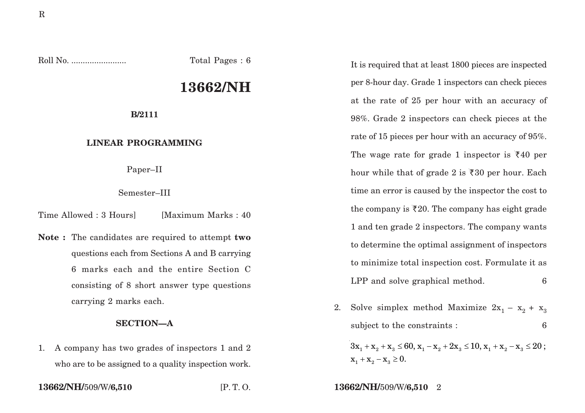Roll No. ........................ Total Pages : 6

# **13662/NH**

**B/2111**

### **LINEAR PROGRAMMING**

Paper–II

#### Semester–III

Time Allowed : 3 Hours [Maximum Marks : 40]

**Note :** The candidates are required to attempt **two** questions each from Sections A and B carrying 6 marks each and the entire Section C consisting of 8 short answer type questions carrying 2 marks each.

#### **SECTION—A**

1. A company has two grades of inspectors 1 and 2 who are to be assigned to a quality inspection work.

It is required that at least 1800 pieces are inspected per 8-hour day. Grade 1 inspectors can check pieces at the rate of 25 per hour with an accuracy of 98%. Grade 2 inspectors can check pieces at the rate of 15 pieces per hour with an accuracy of 95%. The wage rate for grade 1 inspector is  $\bar{\xi}40$  per hour while that of grade 2 is  $\overline{\xi}30$  per hour. Each time an error is caused by the inspector the cost to the company is  $\bar{\zeta}20$ . The company has eight grade 1 and ten grade 2 inspectors. The company wants to determine the optimal assignment of inspectors to minimize total inspection cost. Formulate it as LPP and solve graphical method. 6

2. Solve simplex method Maximize  $2x_1 - x_2 + x_3$ subject to the constraints : 6

 $3 \mathrm{x}_{{}_{1}}+\mathrm{x}_{{}_{2}}+\mathrm{x}_{{}_{3}} \le 60, \mathrm{x}_{{}_{1}}-\mathrm{x}_{{}_{2}}+2 \mathrm{x}_{{}_{3}} \le 10, \mathrm{x}_{{}_{1}}+\mathrm{x}_{{}_{2}}-\mathrm{x}_{{}_{3}} \le 20\,;$  $x_1 + x_2 - x_3 \ge 0.$ 

**13662/NH/**509/W/**6,510** [P. T. O. **13662/NH/**509/W/**6,510** 2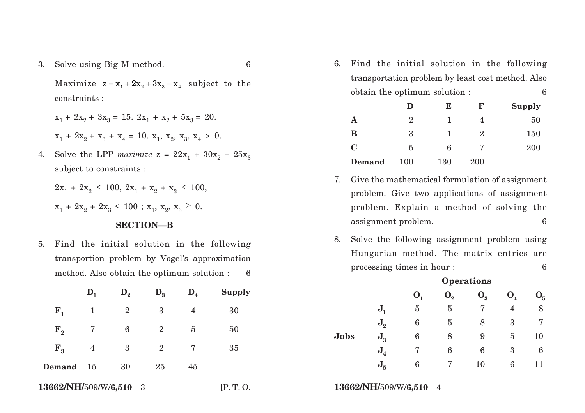3. Solve using Big M method. 6

Maximize  $z = x_1 + 2x_2 + 3x_3 - x_4$  subject to the constraints :

$$
x_1 + 2x_2 + 3x_3 = 15. \ 2x_1 + x_2 + 5x_3 = 20.
$$
  

$$
x_1 + 2x_2 + x_3 + x_4 = 10. \ x_1, \ x_2, \ x_3, \ x_4 \ge 0.
$$

4. Solve the LPP *maximize*  $z = 22x_1 + 30x_2 + 25x_3$ subject to constraints :

$$
2x_1 + 2x_2 \le 100, 2x_1 + x_2 + x_3 \le 100,
$$
  

$$
x_1 + 2x_2 + 2x_3 \le 100 ; x_1, x_2, x_3 \ge 0.
$$

## **SECTION—B**

5. Find the initial solution in the following transportion problem by Vogel's approximation method. Also obtain the optimum solution : 6

|                        | $\mathbf{D}_1$ | $\mathbf{D}_2$ | $\mathbf{D}_3$ | $D_4$             | Supply                 |             |                | U,               |  |
|------------------------|----------------|----------------|----------------|-------------------|------------------------|-------------|----------------|------------------|--|
| ${\bf F}_{1}$          | $\mathbf{1}$   | $\overline{2}$ | 3              | $\overline{4}$    | 30                     |             | $\mathbf{J}_1$ | $\overline{5}$   |  |
| $\mathbf{F}_{2}$       |                | 6              | $\overline{2}$ | $\overline{5}$    | 50                     |             | $J_{2}$        | 6                |  |
|                        |                |                |                |                   |                        | <b>Jobs</b> | $J_{3}$        | $\boldsymbol{6}$ |  |
| $F_{3}$                | $\overline{4}$ | $\overline{3}$ | $\overline{2}$ | $7\phantom{.0}\,$ | 35                     |             | $J_{4}$        | 7                |  |
| Demand                 | - 15           | 30             | 25             | 45                |                        |             | $J_{5}$        | 6                |  |
| 13662/NH/509/W/6,510 3 |                |                |                | [P.T. O.          | 13662/NH/509/W/6,510 4 |             |                |                  |  |

6. Find the initial solution in the following transportation problem by least cost method. Also obtain the optimum solution : 6

|             | D              | E   | F             | <b>Supply</b> |
|-------------|----------------|-----|---------------|---------------|
| Α           | $\overline{2}$ |     |               | 50            |
| B           | 3              |     | $\mathcal{D}$ | 150           |
| $\mathbf C$ | 5              | 6   |               | 200           |
| Demand      | 100            | 130 | 200           |               |

- 7. Give the mathematical formulation of assignment problem. Give two applications of assignment problem. Explain a method of solving the assignment problem. 6
- 8. Solve the following assignment problem using Hungarian method. The matrix entries are processing times in hour : 6

|      |                | $O$ per acions   |                  |       |                |                |
|------|----------------|------------------|------------------|-------|----------------|----------------|
|      |                | $\mathbf{O}_{1}$ | $\mathbf{O}_{2}$ | $O_3$ | O <sub>4</sub> | O <sub>5</sub> |
|      | $J_{1}$        | 5                | 5                |       | 4              | 8              |
|      | $\mathbf{J}_2$ | 6                | 5                | 8     | 3              | 7              |
| Jobs | $J_{3}$        | 6                | 8                | 9     | 5              | 10             |
|      | $J_{4}$        | 7                | 6                | 6     | 3              | 6              |
|      | $J_{5}$        | 6                | 7                | 10    | 6              | 11             |

# **Operations**